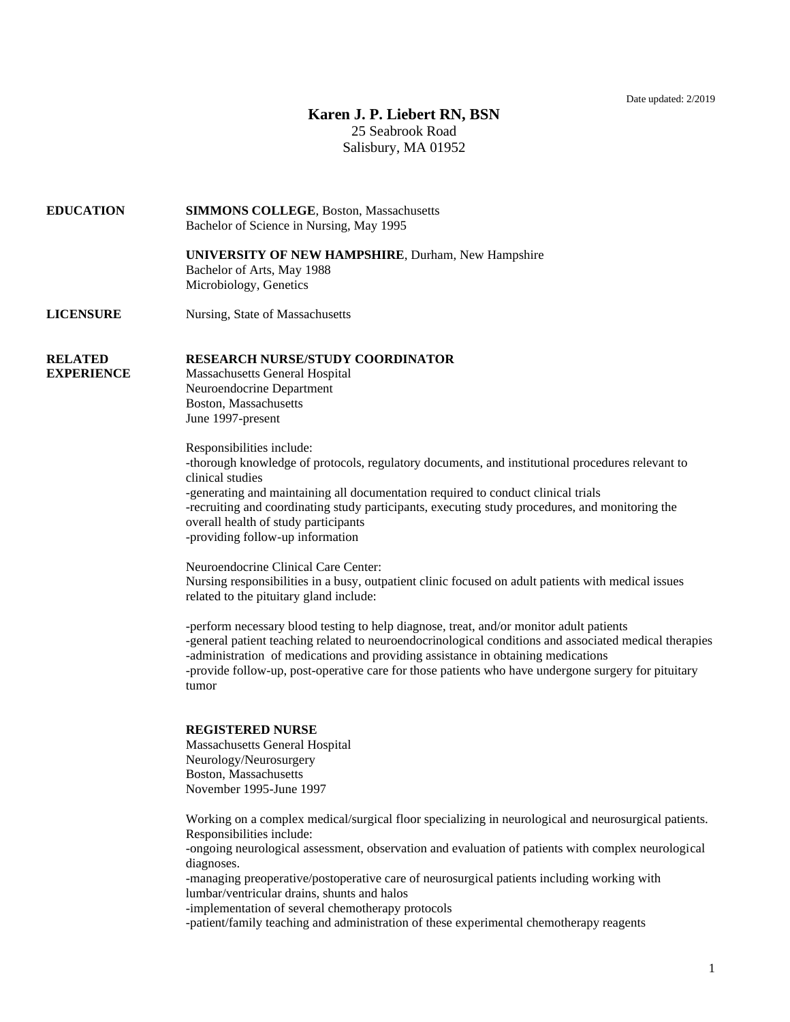Date updated: 2/2019

## **Karen J. P. Liebert RN, BSN**

25 Seabrook Road Salisbury, MA 01952

## **EDUCATION SIMMONS COLLEGE**, Boston, Massachusetts Bachelor of Science in Nursing, May 1995

**UNIVERSITY OF NEW HAMPSHIRE**, Durham, New Hampshire Bachelor of Arts, May 1988 Microbiology, Genetics

**LICENSURE** Nursing, State of Massachusetts

## **RELATED RESEARCH NURSE/STUDY COORDINATOR**

**EXPERIENCE** Massachusetts General Hospital Neuroendocrine Department Boston, Massachusetts June 1997-present

> Responsibilities include: -thorough knowledge of protocols, regulatory documents, and institutional procedures relevant to clinical studies -generating and maintaining all documentation required to conduct clinical trials -recruiting and coordinating study participants, executing study procedures, and monitoring the overall health of study participants -providing follow-up information

> Neuroendocrine Clinical Care Center: Nursing responsibilities in a busy, outpatient clinic focused on adult patients with medical issues related to the pituitary gland include:

-perform necessary blood testing to help diagnose, treat, and/or monitor adult patients -general patient teaching related to neuroendocrinological conditions and associated medical therapies -administration of medications and providing assistance in obtaining medications -provide follow-up, post-operative care for those patients who have undergone surgery for pituitary tumor

## **REGISTERED NURSE**

Massachusetts General Hospital Neurology/Neurosurgery Boston, Massachusetts November 1995-June 1997

Working on a complex medical/surgical floor specializing in neurological and neurosurgical patients. Responsibilities include:

-ongoing neurological assessment, observation and evaluation of patients with complex neurological diagnoses.

-managing preoperative/postoperative care of neurosurgical patients including working with lumbar/ventricular drains, shunts and halos

-implementation of several chemotherapy protocols

-patient/family teaching and administration of these experimental chemotherapy reagents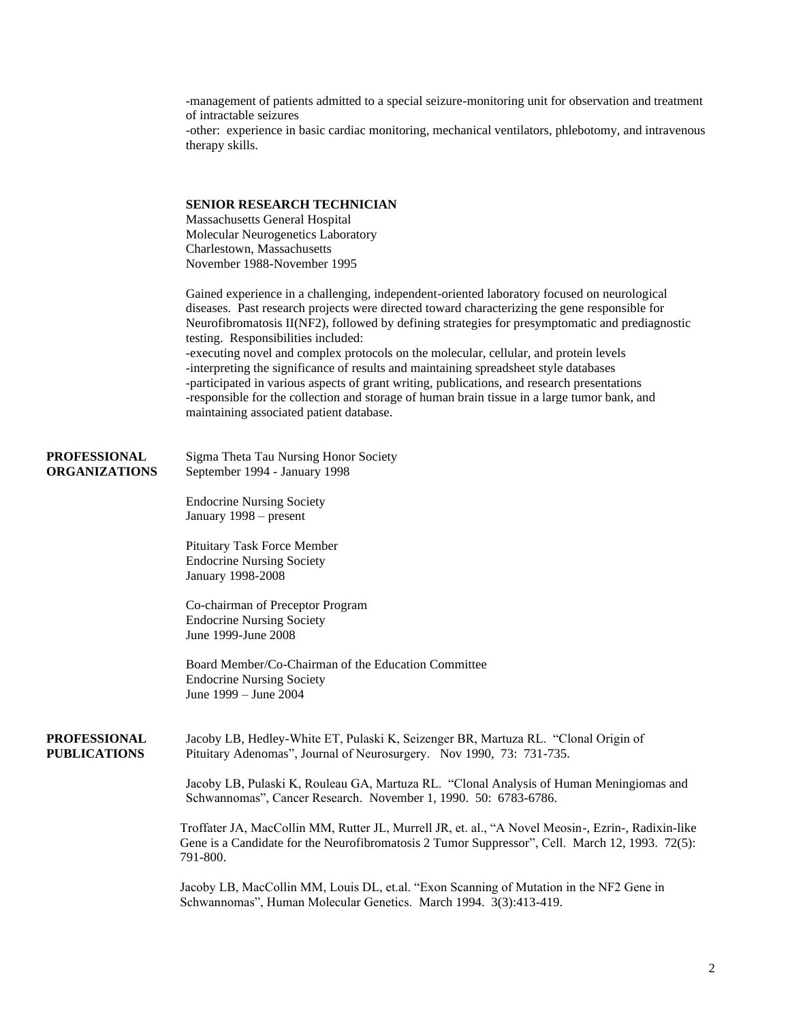-management of patients admitted to a special seizure-monitoring unit for observation and treatment of intractable seizures -other: experience in basic cardiac monitoring, mechanical ventilators, phlebotomy, and intravenous therapy skills. **SENIOR RESEARCH TECHNICIAN** Massachusetts General Hospital Molecular Neurogenetics Laboratory Charlestown, Massachusetts November 1988-November 1995 Gained experience in a challenging, independent-oriented laboratory focused on neurological diseases. Past research projects were directed toward characterizing the gene responsible for Neurofibromatosis II(NF2), followed by defining strategies for presymptomatic and prediagnostic testing. Responsibilities included: -executing novel and complex protocols on the molecular, cellular, and protein levels -interpreting the significance of results and maintaining spreadsheet style databases -participated in various aspects of grant writing, publications, and research presentations -responsible for the collection and storage of human brain tissue in a large tumor bank, and maintaining associated patient database. **PROFESSIONAL** Sigma Theta Tau Nursing Honor Society **ORGANIZATIONS** September 1994 - January 1998 Endocrine Nursing Society January 1998 – present Pituitary Task Force Member Endocrine Nursing Society January 1998-2008 Co-chairman of Preceptor Program Endocrine Nursing Society June 1999-June 2008 Board Member/Co-Chairman of the Education Committee Endocrine Nursing Society June 1999 – June 2004 **PROFESSIONAL** Jacoby LB, Hedley-White ET, Pulaski K, Seizenger BR, Martuza RL. "Clonal Origin of **PUBLICATIONS** Pituitary Adenomas", Journal of Neurosurgery. Nov 1990, 73: 731-735. Jacoby LB, Pulaski K, Rouleau GA, Martuza RL. "Clonal Analysis of Human Meningiomas and Schwannomas", Cancer Research. November 1, 1990. 50: 6783-6786. Troffater JA, MacCollin MM, Rutter JL, Murrell JR, et. al., "A Novel Meosin-, Ezrin-, Radixin-like Gene is a Candidate for the Neurofibromatosis 2 Tumor Suppressor", Cell. March 12, 1993. 72(5): 791-800. Jacoby LB, MacCollin MM, Louis DL, et.al. "Exon Scanning of Mutation in the NF2 Gene in Schwannomas", Human Molecular Genetics. March 1994. 3(3):413-419.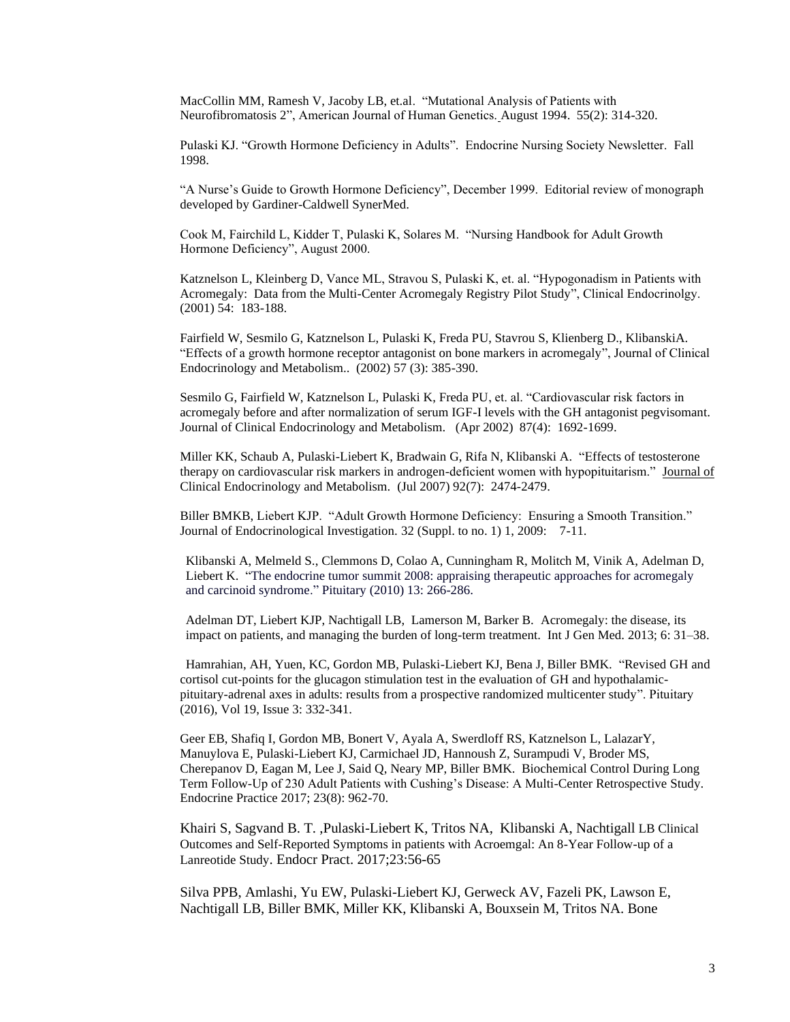MacCollin MM, Ramesh V, Jacoby LB, et.al. "Mutational Analysis of Patients with Neurofibromatosis 2", American Journal of Human Genetics. August 1994. 55(2): 314-320.

Pulaski KJ. "Growth Hormone Deficiency in Adults". Endocrine Nursing Society Newsletter. Fall 1998.

"A Nurse's Guide to Growth Hormone Deficiency", December 1999. Editorial review of monograph developed by Gardiner-Caldwell SynerMed.

Cook M, Fairchild L, Kidder T, Pulaski K, Solares M. "Nursing Handbook for Adult Growth Hormone Deficiency", August 2000.

Katznelson L, Kleinberg D, Vance ML, Stravou S, Pulaski K, et. al. "Hypogonadism in Patients with Acromegaly: Data from the Multi-Center Acromegaly Registry Pilot Study", Clinical Endocrinolgy. (2001) 54: 183-188.

Fairfield W, Sesmilo G, Katznelson L, Pulaski K, Freda PU, Stavrou S, Klienberg D., KlibanskiA. "Effects of a growth hormone receptor antagonist on bone markers in acromegaly", Journal of Clinical Endocrinology and Metabolism.. (2002) 57 (3): 385-390.

Sesmilo G, Fairfield W, Katznelson L, Pulaski K, Freda PU, et. al. "Cardiovascular risk factors in acromegaly before and after normalization of serum IGF-I levels with the GH antagonist pegvisomant. Journal of Clinical Endocrinology and Metabolism. (Apr 2002) 87(4): 1692-1699.

Miller KK, Schaub A, Pulaski-Liebert K, Bradwain G, Rifa N, Klibanski A. "Effects of testosterone therapy on cardiovascular risk markers in androgen-deficient women with hypopituitarism." Journal of Clinical Endocrinology and Metabolism. (Jul 2007) 92(7): 2474-2479.

Biller BMKB, Liebert KJP. "Adult Growth Hormone Deficiency: Ensuring a Smooth Transition." Journal of Endocrinological Investigation. 32 (Suppl. to no. 1) 1, 2009: 7-11.

Klibanski A, Melmeld S., Clemmons D, Colao A, Cunningham R, Molitch M, Vinik A, Adelman D, Liebert K. "The endocrine tumor summit 2008: appraising therapeutic approaches for acromegaly and carcinoid syndrome." Pituitary (2010) 13: 266-286.

Adelman DT, Liebert KJP, Nachtigall LB, Lamerson M, Barker B. Acromegaly: the disease, its impact on patients, and managing the burden of long-term treatment. Int J Gen Med. 2013; 6: 31–38.

Hamrahian, AH, Yuen, KC, Gordon MB, Pulaski-Liebert KJ, Bena J, Biller BMK. "Revised GH and cortisol cut-points for the glucagon stimulation test in the evaluation of GH and hypothalamicpituitary-adrenal axes in adults: results from a prospective randomized multicenter study". Pituitary (2016), Vol 19, Issue 3: 332-341.

Geer EB, Shafiq I, Gordon MB, Bonert V, Ayala A, Swerdloff RS, Katznelson L, LalazarY, Manuylova E, Pulaski-Liebert KJ, Carmichael JD, Hannoush Z, Surampudi V, Broder MS, Cherepanov D, Eagan M, Lee J, Said Q, Neary MP, Biller BMK. Biochemical Control During Long Term Follow-Up of 230 Adult Patients with Cushing's Disease: A Multi-Center Retrospective Study. Endocrine Practice 2017; 23(8): 962-70.

Khairi S, Sagvand B. T. ,Pulaski-Liebert K, Tritos NA, Klibanski A, Nachtigall LB Clinical Outcomes and Self-Reported Symptoms in patients with Acroemgal: An 8-Year Follow-up of a Lanreotide Study. Endocr Pract. 2017;23:56-65

Silva PPB, Amlashi, Yu EW, Pulaski-Liebert KJ, Gerweck AV, Fazeli PK, Lawson E, Nachtigall LB, Biller BMK, Miller KK, Klibanski A, Bouxsein M, Tritos NA. Bone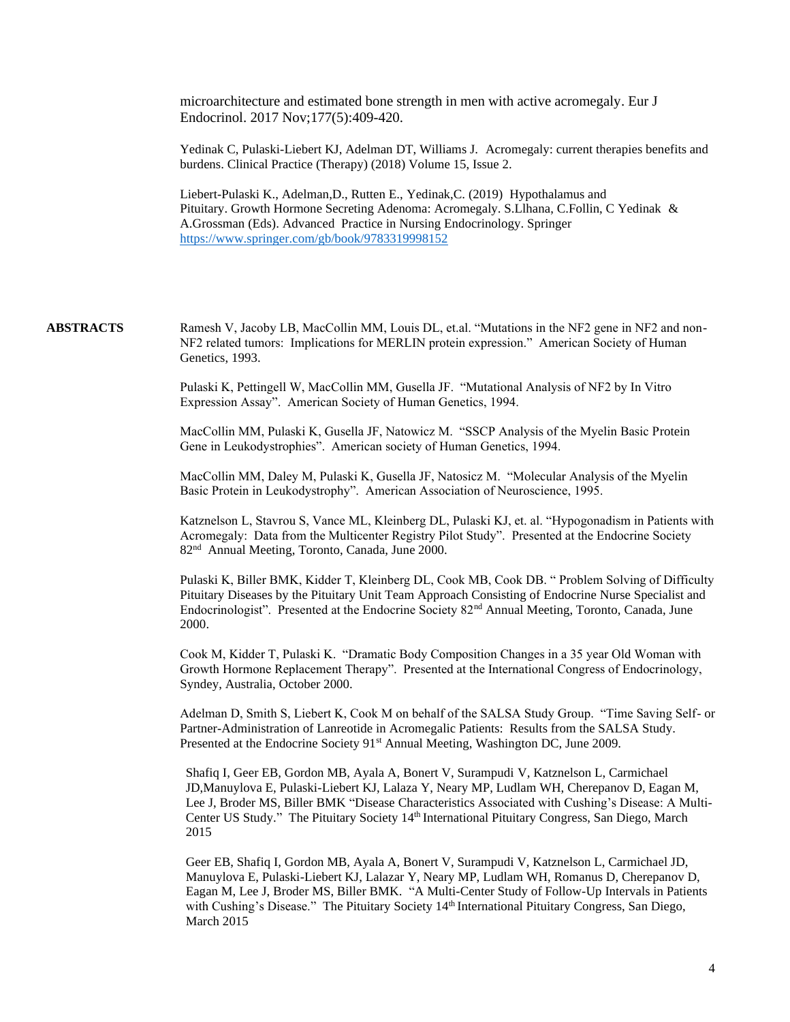microarchitecture and estimated bone strength in men with active acromegaly. Eur J Endocrinol. 2017 Nov;177(5):409-420.

Yedinak C, Pulaski-Liebert KJ, Adelman DT, Williams J. Acromegaly: current therapies benefits and burdens. Clinical Practice (Therapy) (2018) Volume 15, Issue 2.

Liebert-Pulaski K., Adelman,D., Rutten E., Yedinak,C. (2019) Hypothalamus and Pituitary. Growth Hormone Secreting Adenoma: Acromegaly. S.Llhana, C.Follin, C Yedinak & A.Grossman (Eds). Advanced Practice in Nursing Endocrinology. Springer <https://www.springer.com/gb/book/9783319998152>

**ABSTRACTS** Ramesh V, Jacoby LB, MacCollin MM, Louis DL, et.al. "Mutations in the NF2 gene in NF2 and non-NF2 related tumors: Implications for MERLIN protein expression." American Society of Human Genetics, 1993.

> Pulaski K, Pettingell W, MacCollin MM, Gusella JF. "Mutational Analysis of NF2 by In Vitro Expression Assay". American Society of Human Genetics, 1994.

MacCollin MM, Pulaski K, Gusella JF, Natowicz M. "SSCP Analysis of the Myelin Basic Protein Gene in Leukodystrophies". American society of Human Genetics, 1994.

MacCollin MM, Daley M, Pulaski K, Gusella JF, Natosicz M. "Molecular Analysis of the Myelin Basic Protein in Leukodystrophy". American Association of Neuroscience, 1995.

Katznelson L, Stavrou S, Vance ML, Kleinberg DL, Pulaski KJ, et. al. "Hypogonadism in Patients with Acromegaly: Data from the Multicenter Registry Pilot Study". Presented at the Endocrine Society 82<sup>nd</sup> Annual Meeting, Toronto, Canada, June 2000.

Pulaski K, Biller BMK, Kidder T, Kleinberg DL, Cook MB, Cook DB. " Problem Solving of Difficulty Pituitary Diseases by the Pituitary Unit Team Approach Consisting of Endocrine Nurse Specialist and Endocrinologist". Presented at the Endocrine Society 82nd Annual Meeting, Toronto, Canada, June 2000.

Cook M, Kidder T, Pulaski K. "Dramatic Body Composition Changes in a 35 year Old Woman with Growth Hormone Replacement Therapy". Presented at the International Congress of Endocrinology, Syndey, Australia, October 2000.

Adelman D, Smith S, Liebert K, Cook M on behalf of the SALSA Study Group. "Time Saving Self- or Partner-Administration of Lanreotide in Acromegalic Patients: Results from the SALSA Study. Presented at the Endocrine Society 91<sup>st</sup> Annual Meeting, Washington DC, June 2009.

Shafiq I, Geer EB, Gordon MB, Ayala A, Bonert V, Surampudi V, Katznelson L, Carmichael JD,Manuylova E, Pulaski-Liebert KJ, Lalaza Y, Neary MP, Ludlam WH, Cherepanov D, Eagan M, Lee J, Broder MS, Biller BMK "Disease Characteristics Associated with Cushing's Disease: A Multi-Center US Study." The Pituitary Society 14th International Pituitary Congress, San Diego, March 2015

Geer EB, Shafiq I, Gordon MB, Ayala A, Bonert V, Surampudi V, Katznelson L, Carmichael JD, Manuylova E, Pulaski-Liebert KJ, Lalazar Y, Neary MP, Ludlam WH, Romanus D, Cherepanov D, Eagan M, Lee J, Broder MS, Biller BMK. "A Multi-Center Study of Follow-Up Intervals in Patients with Cushing's Disease." The Pituitary Society 14th International Pituitary Congress, San Diego, March 2015